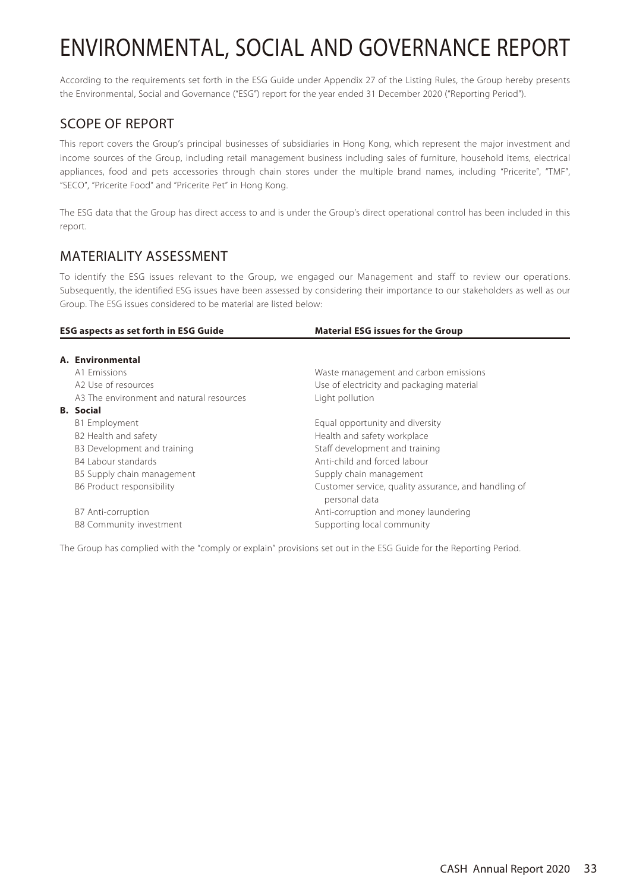According to the requirements set forth in the ESG Guide under Appendix 27 of the Listing Rules, the Group hereby presents the Environmental, Social and Governance ("ESG") report for the year ended 31 December 2020 ("Reporting Period").

# SCOPE OF REPORT

This report covers the Group's principal businesses of subsidiaries in Hong Kong, which represent the major investment and income sources of the Group, including retail management business including sales of furniture, household items, electrical appliances, food and pets accessories through chain stores under the multiple brand names, including "Pricerite", "TMF", "SECO", "Pricerite Food" and "Pricerite Pet" in Hong Kong.

The ESG data that the Group has direct access to and is under the Group's direct operational control has been included in this report.

# MATERIALITY ASSESSMENT

To identify the ESG issues relevant to the Group, we engaged our Management and staff to review our operations. Subsequently, the identified ESG issues have been assessed by considering their importance to our stakeholders as well as our Group. The ESG issues considered to be material are listed below:

| <b>ESG aspects as set forth in ESG Guide</b> |                                          | <b>Material ESG issues for the Group</b>                              |  |
|----------------------------------------------|------------------------------------------|-----------------------------------------------------------------------|--|
|                                              | A. Environmental                         |                                                                       |  |
|                                              | A1 Emissions                             | Waste management and carbon emissions                                 |  |
|                                              | A2 Use of resources                      | Use of electricity and packaging material                             |  |
|                                              | A3 The environment and natural resources | Light pollution                                                       |  |
|                                              | <b>B.</b> Social                         |                                                                       |  |
|                                              | B1 Employment                            | Equal opportunity and diversity                                       |  |
|                                              | B2 Health and safety                     | Health and safety workplace                                           |  |
|                                              | B3 Development and training              | Staff development and training                                        |  |
|                                              | B4 Labour standards                      | Anti-child and forced labour                                          |  |
|                                              | B5 Supply chain management               | Supply chain management                                               |  |
|                                              | B6 Product responsibility                | Customer service, quality assurance, and handling of<br>personal data |  |
|                                              | B7 Anti-corruption                       | Anti-corruption and money laundering                                  |  |
|                                              | <b>B8 Community investment</b>           | Supporting local community                                            |  |

The Group has complied with the "comply or explain" provisions set out in the ESG Guide for the Reporting Period.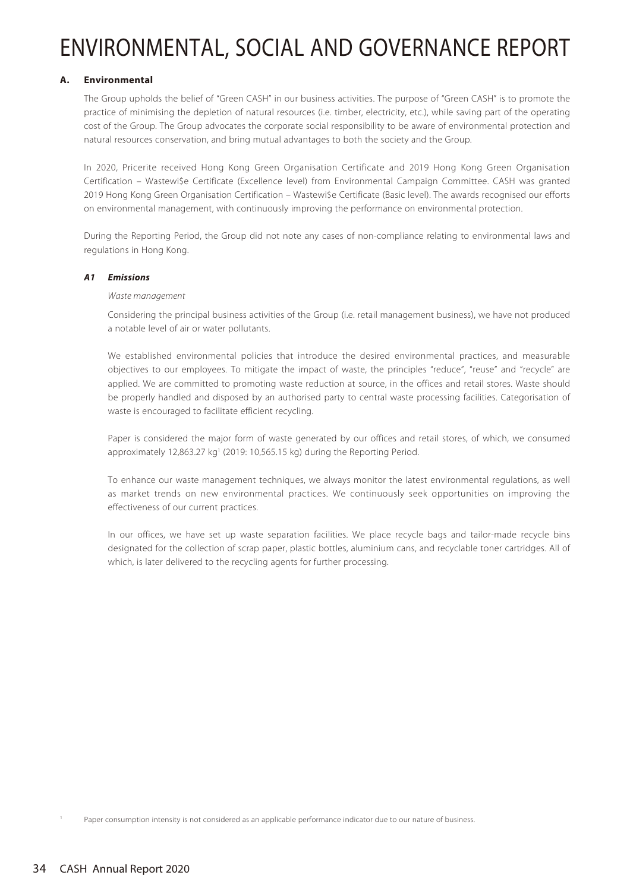# **A. Environmental**

The Group upholds the belief of "Green CASH" in our business activities. The purpose of "Green CASH" is to promote the practice of minimising the depletion of natural resources (i.e. timber, electricity, etc.), while saving part of the operating cost of the Group. The Group advocates the corporate social responsibility to be aware of environmental protection and natural resources conservation, and bring mutual advantages to both the society and the Group.

In 2020, Pricerite received Hong Kong Green Organisation Certificate and 2019 Hong Kong Green Organisation Certification – Wastewi\$e Certificate (Excellence level) from Environmental Campaign Committee. CASH was granted 2019 Hong Kong Green Organisation Certification – Wastewi\$e Certificate (Basic level). The awards recognised our efforts on environmental management, with continuously improving the performance on environmental protection.

During the Reporting Period, the Group did not note any cases of non-compliance relating to environmental laws and regulations in Hong Kong.

# **A1 Emissions**

# Waste management

Considering the principal business activities of the Group (i.e. retail management business), we have not produced a notable level of air or water pollutants.

We established environmental policies that introduce the desired environmental practices, and measurable objectives to our employees. To mitigate the impact of waste, the principles "reduce", "reuse" and "recycle" are applied. We are committed to promoting waste reduction at source, in the offices and retail stores. Waste should be properly handled and disposed by an authorised party to central waste processing facilities. Categorisation of waste is encouraged to facilitate efficient recycling.

Paper is considered the major form of waste generated by our offices and retail stores, of which, we consumed approximately 12,863.27 kg<sup>1</sup> (2019: 10,565.15 kg) during the Reporting Period.

To enhance our waste management techniques, we always monitor the latest environmental regulations, as well as market trends on new environmental practices. We continuously seek opportunities on improving the effectiveness of our current practices.

In our offices, we have set up waste separation facilities. We place recycle bags and tailor-made recycle bins designated for the collection of scrap paper, plastic bottles, aluminium cans, and recyclable toner cartridges. All of which, is later delivered to the recycling agents for further processing.

Paper consumption intensity is not considered as an applicable performance indicator due to our nature of business.

1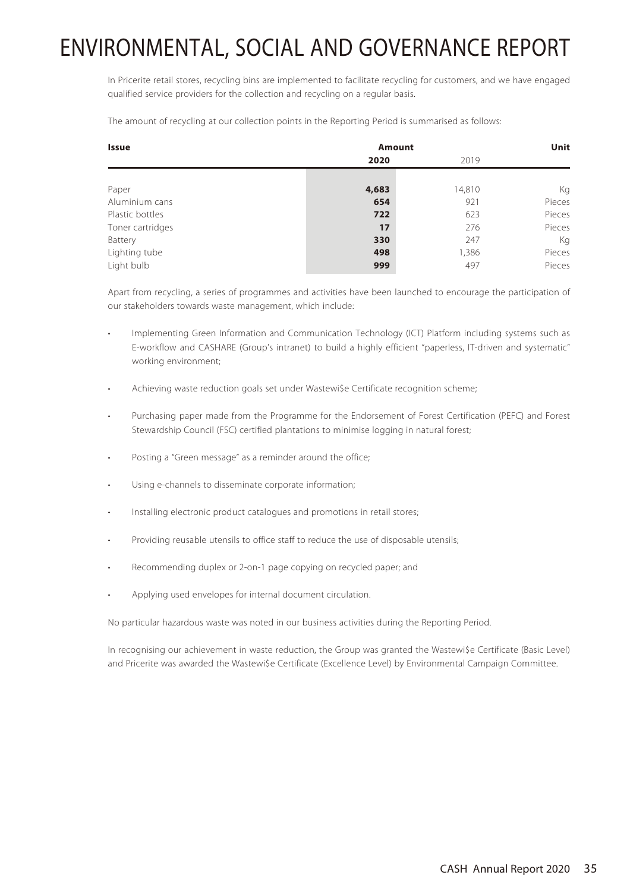In Pricerite retail stores, recycling bins are implemented to facilitate recycling for customers, and we have engaged qualified service providers for the collection and recycling on a regular basis.

The amount of recycling at our collection points in the Reporting Period is summarised as follows:

| <b>Issue</b>     | <b>Amount</b> |        | Unit   |
|------------------|---------------|--------|--------|
|                  | 2020          | 2019   |        |
|                  |               |        |        |
| Paper            | 4,683         | 14,810 | Кg     |
| Aluminium cans   | 654           | 921    | Pieces |
| Plastic bottles  | 722           | 623    | Pieces |
| Toner cartridges | 17            | 276    | Pieces |
| Battery          | 330           | 247    | Кg     |
| Lighting tube    | 498           | 1,386  | Pieces |
| Light bulb       | 999           | 497    | Pieces |

Apart from recycling, a series of programmes and activities have been launched to encourage the participation of our stakeholders towards waste management, which include:

- Implementing Green Information and Communication Technology (ICT) Platform including systems such as E-workflow and CASHARE (Group's intranet) to build a highly efficient "paperless, IT-driven and systematic" working environment;
- Achieving waste reduction goals set under Wastewi\$e Certificate recognition scheme;
- Purchasing paper made from the Programme for the Endorsement of Forest Certification (PEFC) and Forest Stewardship Council (FSC) certified plantations to minimise logging in natural forest;
- Posting a "Green message" as a reminder around the office;
- Using e-channels to disseminate corporate information;
- Installing electronic product catalogues and promotions in retail stores;
- Providing reusable utensils to office staff to reduce the use of disposable utensils;
- Recommending duplex or 2-on-1 page copying on recycled paper; and
- Applying used envelopes for internal document circulation.

No particular hazardous waste was noted in our business activities during the Reporting Period.

In recognising our achievement in waste reduction, the Group was granted the Wastewi\$e Certificate (Basic Level) and Pricerite was awarded the Wastewi\$e Certificate (Excellence Level) by Environmental Campaign Committee.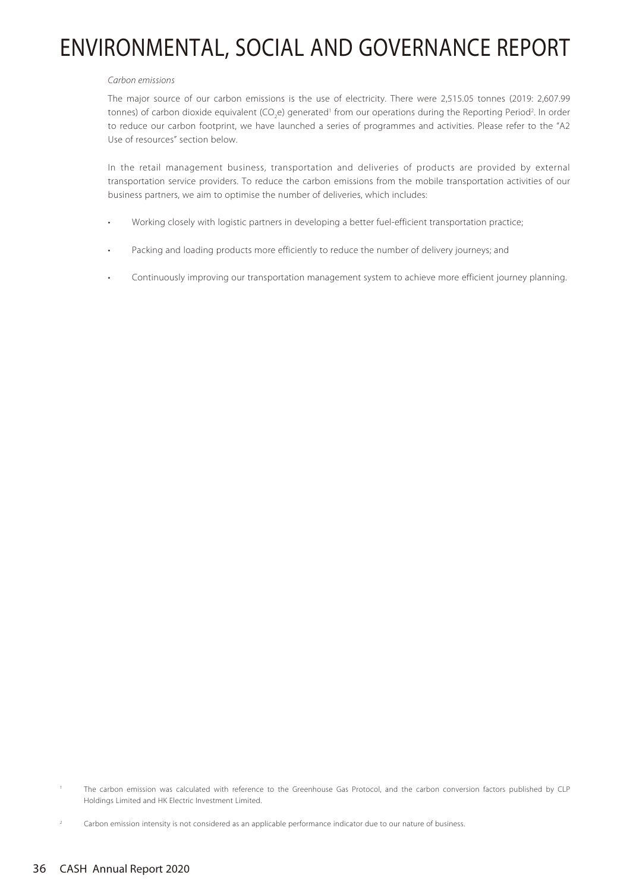#### Carbon emissions

The major source of our carbon emissions is the use of electricity. There were 2,515.05 tonnes (2019: 2,607.99 tonnes) of carbon dioxide equivalent (CO<sub>2</sub>e) generated<sup>1</sup> from our operations during the Reporting Period<sup>2</sup>. In order to reduce our carbon footprint, we have launched a series of programmes and activities. Please refer to the "A2 Use of resources" section below.

In the retail management business, transportation and deliveries of products are provided by external transportation service providers. To reduce the carbon emissions from the mobile transportation activities of our business partners, we aim to optimise the number of deliveries, which includes:

- Working closely with logistic partners in developing a better fuel-efficient transportation practice;
- Packing and loading products more efficiently to reduce the number of delivery journeys; and
- Continuously improving our transportation management system to achieve more efficient journey planning.

<sup>1</sup> The carbon emission was calculated with reference to the Greenhouse Gas Protocol, and the carbon conversion factors published by CLP Holdings Limited and HK Electric Investment Limited.

Carbon emission intensity is not considered as an applicable performance indicator due to our nature of business.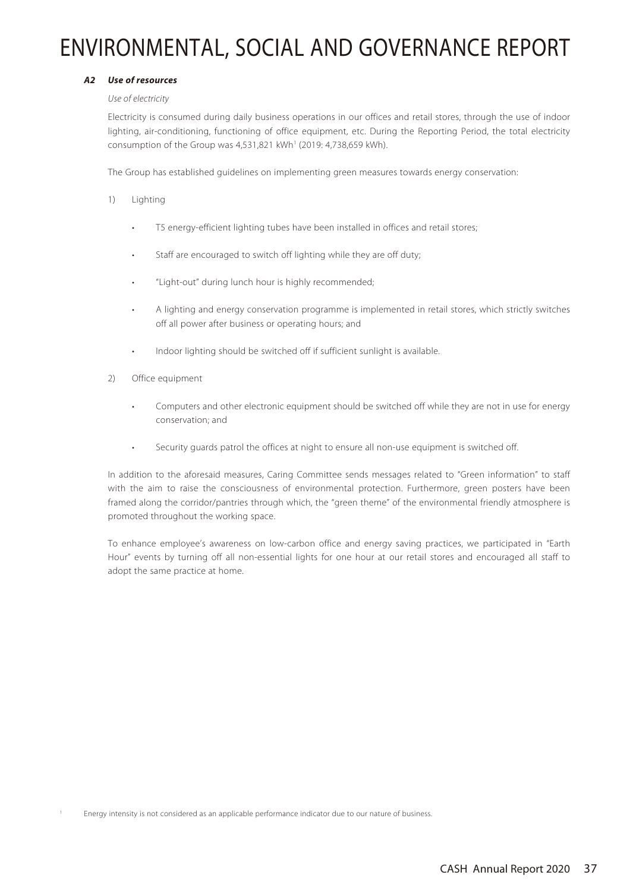# **A2 Use of resources**

### Use of electricity

Electricity is consumed during daily business operations in our offices and retail stores, through the use of indoor lighting, air-conditioning, functioning of office equipment, etc. During the Reporting Period, the total electricity consumption of the Group was 4,531,821 kWh<sup>1</sup> (2019: 4,738,659 kWh).

The Group has established guidelines on implementing green measures towards energy conservation:

- 1) Lighting
	- T5 energy-efficient lighting tubes have been installed in offices and retail stores;
	- Staff are encouraged to switch off lighting while they are off duty;
	- "Light-out" during lunch hour is highly recommended;
	- A lighting and energy conservation programme is implemented in retail stores, which strictly switches off all power after business or operating hours; and
	- Indoor lighting should be switched off if sufficient sunlight is available.
- 2) Office equipment
	- Computers and other electronic equipment should be switched off while they are not in use for energy conservation; and
	- Security guards patrol the offices at night to ensure all non-use equipment is switched off.

In addition to the aforesaid measures, Caring Committee sends messages related to "Green information" to staff with the aim to raise the consciousness of environmental protection. Furthermore, green posters have been framed along the corridor/pantries through which, the "green theme" of the environmental friendly atmosphere is promoted throughout the working space.

To enhance employee's awareness on low-carbon office and energy saving practices, we participated in "Earth Hour" events by turning off all non-essential lights for one hour at our retail stores and encouraged all staff to adopt the same practice at home.

1 Energy intensity is not considered as an applicable performance indicator due to our nature of business.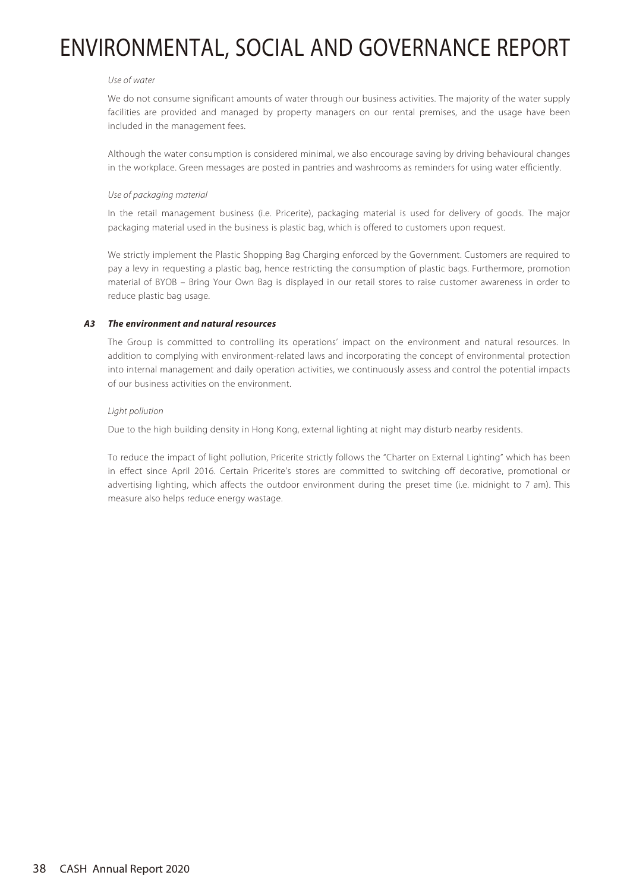#### Use of water

We do not consume significant amounts of water through our business activities. The majority of the water supply facilities are provided and managed by property managers on our rental premises, and the usage have been included in the management fees.

Although the water consumption is considered minimal, we also encourage saving by driving behavioural changes in the workplace. Green messages are posted in pantries and washrooms as reminders for using water efficiently.

### Use of packaging material

In the retail management business (i.e. Pricerite), packaging material is used for delivery of goods. The major packaging material used in the business is plastic bag, which is offered to customers upon request.

We strictly implement the Plastic Shopping Bag Charging enforced by the Government. Customers are required to pay a levy in requesting a plastic bag, hence restricting the consumption of plastic bags. Furthermore, promotion material of BYOB – Bring Your Own Bag is displayed in our retail stores to raise customer awareness in order to reduce plastic bag usage.

# **A3 The environment and natural resources**

The Group is committed to controlling its operations' impact on the environment and natural resources. In addition to complying with environment-related laws and incorporating the concept of environmental protection into internal management and daily operation activities, we continuously assess and control the potential impacts of our business activities on the environment.

### Light pollution

Due to the high building density in Hong Kong, external lighting at night may disturb nearby residents.

To reduce the impact of light pollution, Pricerite strictly follows the "Charter on External Lighting" which has been in effect since April 2016. Certain Pricerite's stores are committed to switching off decorative, promotional or advertising lighting, which affects the outdoor environment during the preset time (i.e. midnight to 7 am). This measure also helps reduce energy wastage.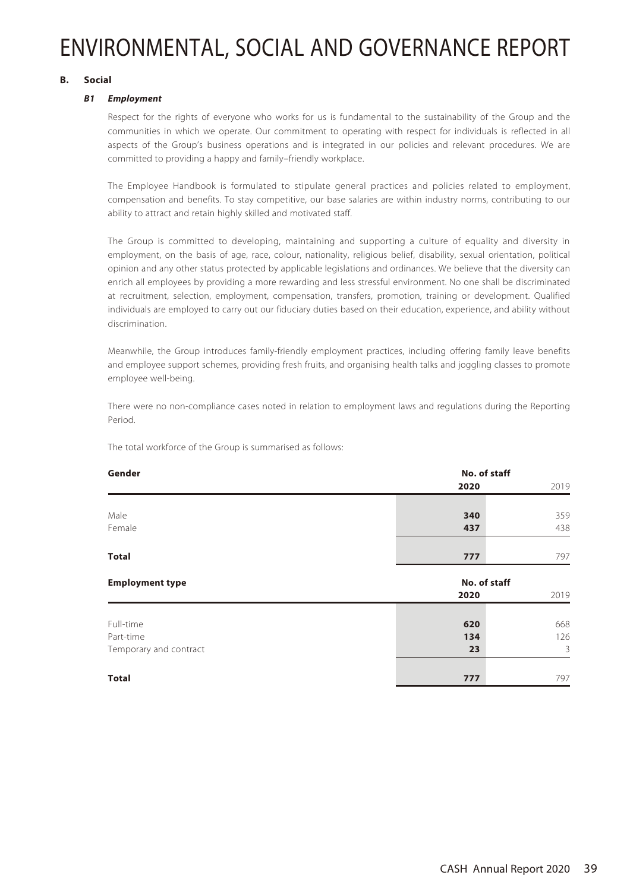# **B. Social**

# **B1 Employment**

Respect for the rights of everyone who works for us is fundamental to the sustainability of the Group and the communities in which we operate. Our commitment to operating with respect for individuals is reflected in all aspects of the Group's business operations and is integrated in our policies and relevant procedures. We are committed to providing a happy and family–friendly workplace.

The Employee Handbook is formulated to stipulate general practices and policies related to employment, compensation and benefits. To stay competitive, our base salaries are within industry norms, contributing to our ability to attract and retain highly skilled and motivated staff.

The Group is committed to developing, maintaining and supporting a culture of equality and diversity in employment, on the basis of age, race, colour, nationality, religious belief, disability, sexual orientation, political opinion and any other status protected by applicable legislations and ordinances. We believe that the diversity can enrich all employees by providing a more rewarding and less stressful environment. No one shall be discriminated at recruitment, selection, employment, compensation, transfers, promotion, training or development. Qualified individuals are employed to carry out our fiduciary duties based on their education, experience, and ability without discrimination.

Meanwhile, the Group introduces family-friendly employment practices, including offering family leave benefits and employee support schemes, providing fresh fruits, and organising health talks and joggling classes to promote employee well-being.

There were no non-compliance cases noted in relation to employment laws and regulations during the Reporting Period.

The total workforce of the Group is summarised as follows:

| Gender                 | No. of staff |      |
|------------------------|--------------|------|
|                        | 2020         | 2019 |
|                        |              |      |
| Male                   | 340          | 359  |
| Female                 | 437          | 438  |
| <b>Total</b>           | 777          | 797  |
| <b>Employment type</b> | No. of staff |      |
|                        | 2020         | 2019 |
| Full-time              | 620          | 668  |
| Part-time              | 134          | 126  |
| Temporary and contract | 23           | 3    |
| <b>Total</b>           | 777          | 797  |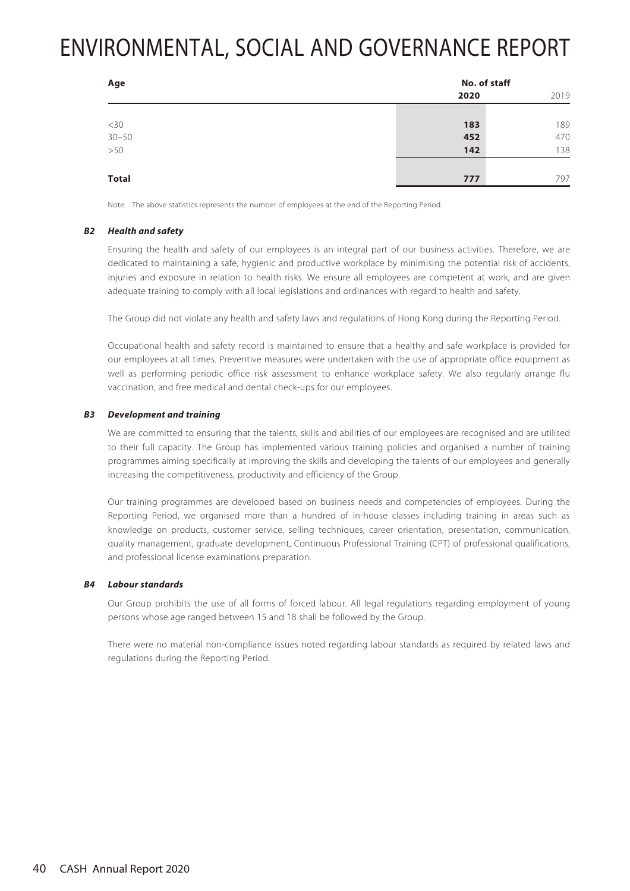| Age                   | No. of staff |      |
|-----------------------|--------------|------|
|                       | 2020         | 2019 |
|                       |              |      |
|                       | 183          | 189  |
|                       | 452          | 470  |
| $~14$<br>30-50<br>>50 | 142          | 138  |
|                       |              |      |
| <b>Total</b>          | 777          | 797  |

Note: The above statistics represents the number of employees at the end of the Reporting Period.

### **B2 Health and safety**

Ensuring the health and safety of our employees is an integral part of our business activities. Therefore, we are dedicated to maintaining a safe, hygienic and productive workplace by minimising the potential risk of accidents, injuries and exposure in relation to health risks. We ensure all employees are competent at work, and are given adequate training to comply with all local legislations and ordinances with regard to health and safety.

The Group did not violate any health and safety laws and regulations of Hong Kong during the Reporting Period.

Occupational health and safety record is maintained to ensure that a healthy and safe workplace is provided for our employees at all times. Preventive measures were undertaken with the use of appropriate office equipment as well as performing periodic office risk assessment to enhance workplace safety. We also regularly arrange flu vaccination, and free medical and dental check-ups for our employees.

### **B3 Development and training**

We are committed to ensuring that the talents, skills and abilities of our employees are recognised and are utilised to their full capacity. The Group has implemented various training policies and organised a number of training programmes aiming specifically at improving the skills and developing the talents of our employees and generally increasing the competitiveness, productivity and efficiency of the Group.

Our training programmes are developed based on business needs and competencies of employees. During the Reporting Period, we organised more than a hundred of in-house classes including training in areas such as knowledge on products, customer service, selling techniques, career orientation, presentation, communication, quality management, graduate development, Continuous Professional Training (CPT) of professional qualifications, and professional license examinations preparation.

#### **B4 Labour standards**

Our Group prohibits the use of all forms of forced labour. All legal regulations regarding employment of young persons whose age ranged between 15 and 18 shall be followed by the Group.

There were no material non-compliance issues noted regarding labour standards as required by related laws and regulations during the Reporting Period.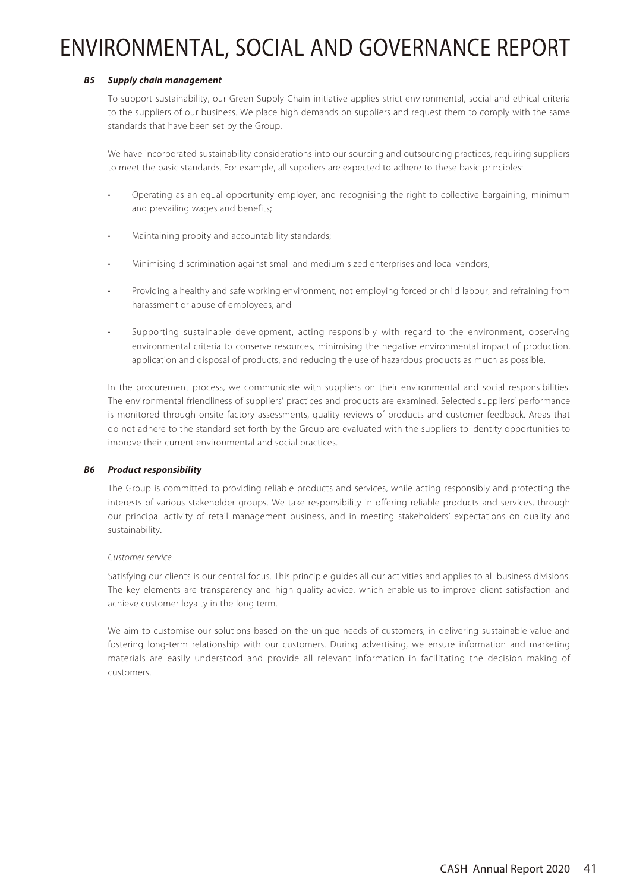# **B5 Supply chain management**

To support sustainability, our Green Supply Chain initiative applies strict environmental, social and ethical criteria to the suppliers of our business. We place high demands on suppliers and request them to comply with the same standards that have been set by the Group.

We have incorporated sustainability considerations into our sourcing and outsourcing practices, requiring suppliers to meet the basic standards. For example, all suppliers are expected to adhere to these basic principles:

- Operating as an equal opportunity employer, and recognising the right to collective bargaining, minimum and prevailing wages and benefits;
- Maintaining probity and accountability standards;
- Minimising discrimination against small and medium-sized enterprises and local vendors;
- Providing a healthy and safe working environment, not employing forced or child labour, and refraining from harassment or abuse of employees; and
- Supporting sustainable development, acting responsibly with regard to the environment, observing environmental criteria to conserve resources, minimising the negative environmental impact of production, application and disposal of products, and reducing the use of hazardous products as much as possible.

In the procurement process, we communicate with suppliers on their environmental and social responsibilities. The environmental friendliness of suppliers' practices and products are examined. Selected suppliers' performance is monitored through onsite factory assessments, quality reviews of products and customer feedback. Areas that do not adhere to the standard set forth by the Group are evaluated with the suppliers to identity opportunities to improve their current environmental and social practices.

# **B6 Product responsibility**

The Group is committed to providing reliable products and services, while acting responsibly and protecting the interests of various stakeholder groups. We take responsibility in offering reliable products and services, through our principal activity of retail management business, and in meeting stakeholders' expectations on quality and sustainability.

# Customer service

Satisfying our clients is our central focus. This principle guides all our activities and applies to all business divisions. The key elements are transparency and high-quality advice, which enable us to improve client satisfaction and achieve customer loyalty in the long term.

We aim to customise our solutions based on the unique needs of customers, in delivering sustainable value and fostering long-term relationship with our customers. During advertising, we ensure information and marketing materials are easily understood and provide all relevant information in facilitating the decision making of customers.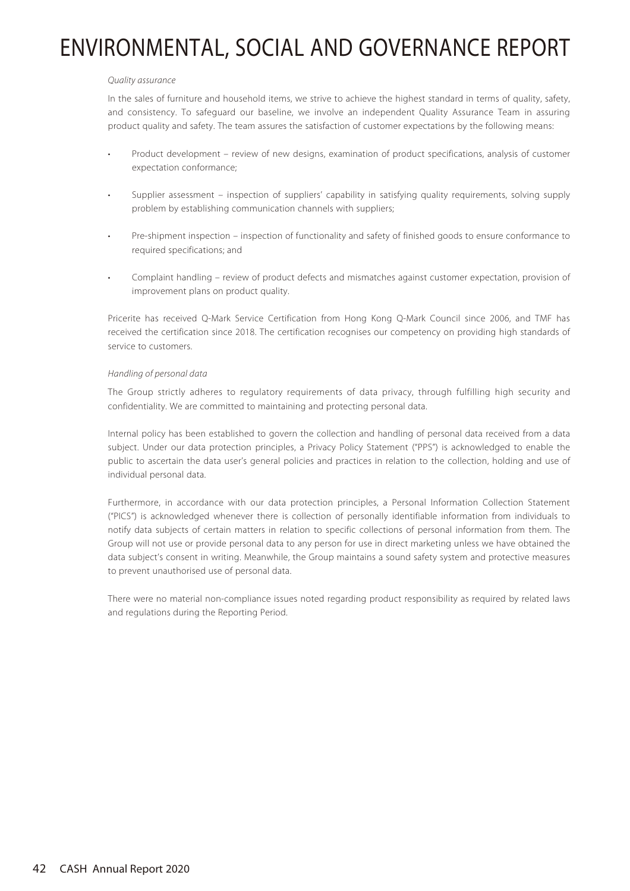#### Quality assurance

In the sales of furniture and household items, we strive to achieve the highest standard in terms of quality, safety, and consistency. To safeguard our baseline, we involve an independent Quality Assurance Team in assuring product quality and safety. The team assures the satisfaction of customer expectations by the following means:

- Product development review of new designs, examination of product specifications, analysis of customer expectation conformance;
- Supplier assessment inspection of suppliers' capability in satisfying quality requirements, solving supply problem by establishing communication channels with suppliers;
- Pre-shipment inspection inspection of functionality and safety of finished goods to ensure conformance to required specifications; and
- Complaint handling review of product defects and mismatches against customer expectation, provision of improvement plans on product quality.

Pricerite has received Q-Mark Service Certification from Hong Kong Q-Mark Council since 2006, and TMF has received the certification since 2018. The certification recognises our competency on providing high standards of service to customers.

### Handling of personal data

The Group strictly adheres to regulatory requirements of data privacy, through fulfilling high security and confidentiality. We are committed to maintaining and protecting personal data.

Internal policy has been established to govern the collection and handling of personal data received from a data subject. Under our data protection principles, a Privacy Policy Statement ("PPS") is acknowledged to enable the public to ascertain the data user's general policies and practices in relation to the collection, holding and use of individual personal data.

Furthermore, in accordance with our data protection principles, a Personal Information Collection Statement ("PICS") is acknowledged whenever there is collection of personally identifiable information from individuals to notify data subjects of certain matters in relation to specific collections of personal information from them. The Group will not use or provide personal data to any person for use in direct marketing unless we have obtained the data subject's consent in writing. Meanwhile, the Group maintains a sound safety system and protective measures to prevent unauthorised use of personal data.

There were no material non-compliance issues noted regarding product responsibility as required by related laws and regulations during the Reporting Period.